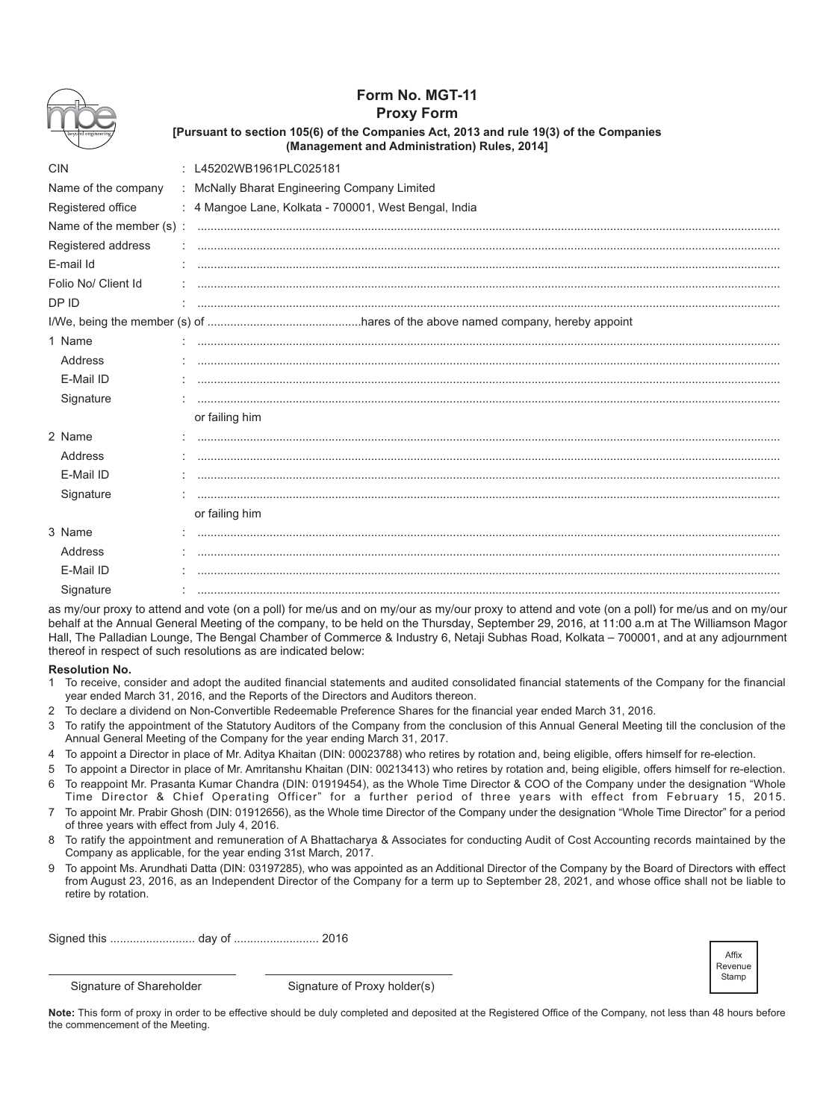|                     | Form No. MGT-11<br><b>Proxy Form</b><br>[Pursuant to section 105(6) of the Companies Act, 2013 and rule 19(3) of the Companies<br>(Management and Administration) Rules, 2014] |  |  |  |  |  |
|---------------------|--------------------------------------------------------------------------------------------------------------------------------------------------------------------------------|--|--|--|--|--|
| <b>CIN</b>          | : L45202WB1961PLC025181                                                                                                                                                        |  |  |  |  |  |
| Name of the company | : McNally Bharat Engineering Company Limited                                                                                                                                   |  |  |  |  |  |
| Registered office   | : 4 Mangoe Lane, Kolkata - 700001, West Bengal, India                                                                                                                          |  |  |  |  |  |
|                     |                                                                                                                                                                                |  |  |  |  |  |
| Registered address  |                                                                                                                                                                                |  |  |  |  |  |
| E-mail Id           |                                                                                                                                                                                |  |  |  |  |  |
| Folio No/ Client Id |                                                                                                                                                                                |  |  |  |  |  |
| DP ID               |                                                                                                                                                                                |  |  |  |  |  |
|                     |                                                                                                                                                                                |  |  |  |  |  |
| 1 Name              |                                                                                                                                                                                |  |  |  |  |  |
| Address             |                                                                                                                                                                                |  |  |  |  |  |
| E-Mail ID           |                                                                                                                                                                                |  |  |  |  |  |
| Signature           |                                                                                                                                                                                |  |  |  |  |  |
|                     | or failing him                                                                                                                                                                 |  |  |  |  |  |
| 2 Name              |                                                                                                                                                                                |  |  |  |  |  |
| Address             |                                                                                                                                                                                |  |  |  |  |  |
| E-Mail ID           |                                                                                                                                                                                |  |  |  |  |  |
| Signature           |                                                                                                                                                                                |  |  |  |  |  |
|                     | or failing him                                                                                                                                                                 |  |  |  |  |  |
| 3 Name              |                                                                                                                                                                                |  |  |  |  |  |
| Address             |                                                                                                                                                                                |  |  |  |  |  |
| E-Mail ID           |                                                                                                                                                                                |  |  |  |  |  |
| Signature           |                                                                                                                                                                                |  |  |  |  |  |

as my/our proxy to attend and vote (on a poll) for me/us and on my/our as my/our proxy to attend and vote (on a poll) for me/us and on my/our behalf at the Annual General Meeting of the company, to be held on the Thursday, September 29, 2016, at 11:00 a.m at The Williamson Magor Hall, The Palladian Lounge, The Bengal Chamber of Commerce & Industry 6, Netaji Subhas Road, Kolkata - 700001, and at any adjournment thereof in respect of such resolutions as are indicated below:

## **Resolution No.**

- To receive, consider and adopt the audited financial statements and audited consolidated financial statements of the Company for the financial  $\mathbf{1}$ year ended March 31, 2016, and the Reports of the Directors and Auditors thereon.
- 2 To declare a dividend on Non-Convertible Redeemable Preference Shares for the financial vear ended March 31, 2016.
- 3 To ratify the appointment of the Statutory Auditors of the Company from the conclusion of this Annual General Meeting till the conclusion of the Annual General Meeting of the Company for the year ending March 31, 2017.
- 4 To appoint a Director in place of Mr. Aditya Khaitan (DIN: 00023788) who retires by rotation and, being eligible, offers himself for re-election.
- To appoint a Director in place of Mr. Amritanshu Khaitan (DIN: 00213413) who retires by rotation and, being eligible, offers himself for re-election. To reappoint Mr. Prasanta Kumar Chandra (DIN: 01919454), as the Whole Time Director & COO of the Company under the designation "Whole
- Time Director & Chief Operating Officer" for a further period of three years with effect from February 15, 2015.
- 7 To appoint Mr. Prabir Ghosh (DIN: 01912656), as the Whole time Director of the Company under the designation "Whole Time Director" for a period of three years with effect from July 4, 2016.
- 8 To ratify the appointment and remuneration of A Bhattacharya & Associates for conducting Audit of Cost Accounting records maintained by the Company as applicable, for the year ending 31st March, 2017.
- $\mathsf{Q}$ To appoint Ms. Arundhati Datta (DIN: 03197285), who was appointed as an Additional Director of the Company by the Board of Directors with effect from August 23, 2016, as an Independent Director of the Company for a term up to September 28, 2021, and whose office shall not be liable to retire by rotation.

Affix Revenue Stamp

Signature of Shareholder

Signature of Proxy holder(s)

Note: This form of proxy in order to be effective should be duly completed and deposited at the Registered Office of the Company, not less than 48 hours before the commencement of the Meeting.